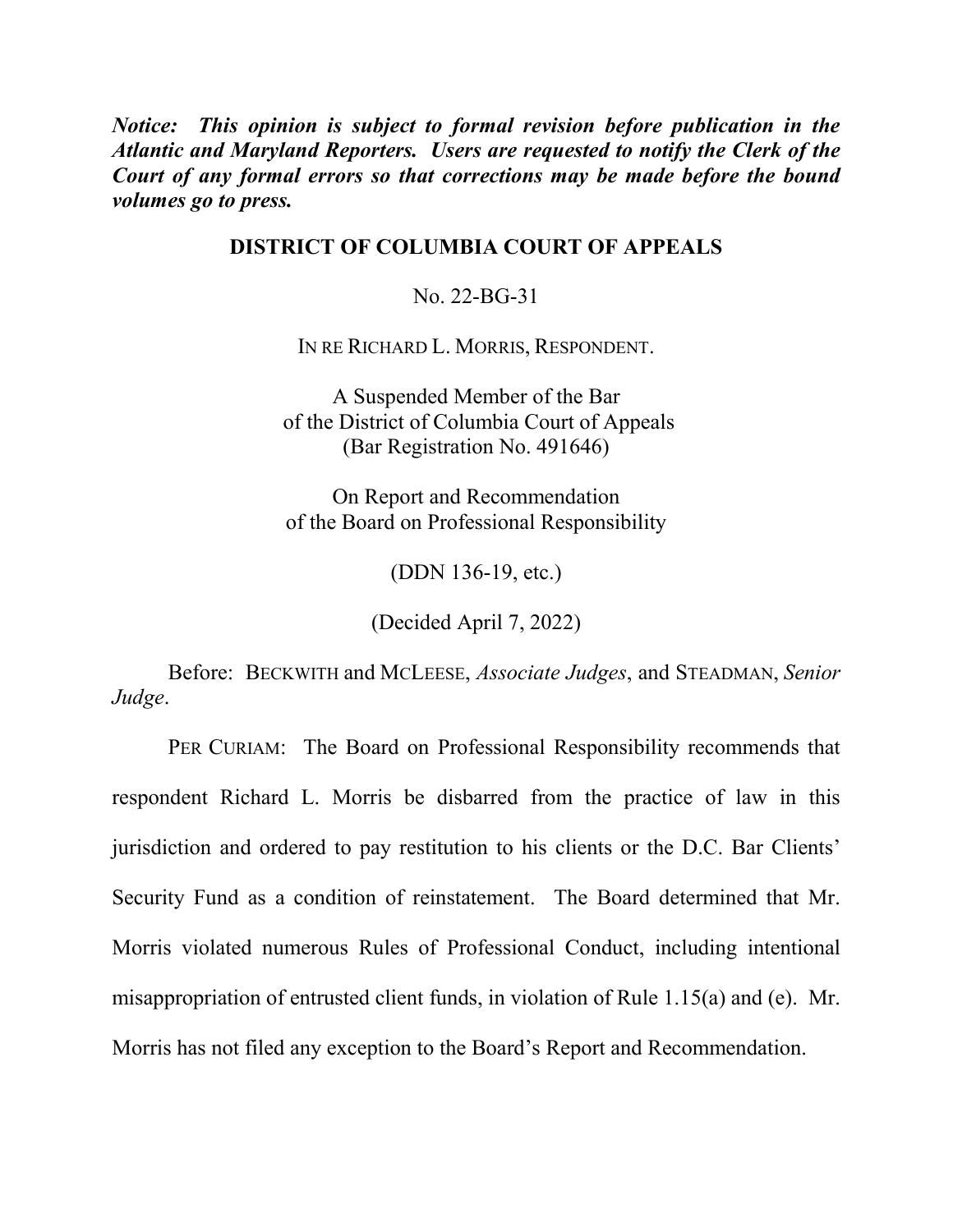*Notice: This opinion is subject to formal revision before publication in the Atlantic and Maryland Reporters. Users are requested to notify the Clerk of the Court of any formal errors so that corrections may be made before the bound volumes go to press.* 

## **DISTRICT OF COLUMBIA COURT OF APPEALS**

No. 22-BG-31

IN RE RICHARD L. MORRIS, RESPONDENT.

A Suspended Member of the Bar of the District of Columbia Court of Appeals (Bar Registration No. 491646)

On Report and Recommendation of the Board on Professional Responsibility

(DDN 136-19, etc.)

(Decided April 7, 2022)

Before: BECKWITH and MCLEESE, *Associate Judges*, and STEADMAN, *Senior Judge*.

PER CURIAM: The Board on Professional Responsibility recommends that respondent Richard L. Morris be disbarred from the practice of law in this jurisdiction and ordered to pay restitution to his clients or the D.C. Bar Clients' Security Fund as a condition of reinstatement. The Board determined that Mr. Morris violated numerous Rules of Professional Conduct, including intentional misappropriation of entrusted client funds, in violation of Rule 1.15(a) and (e). Mr. Morris has not filed any exception to the Board's Report and Recommendation.